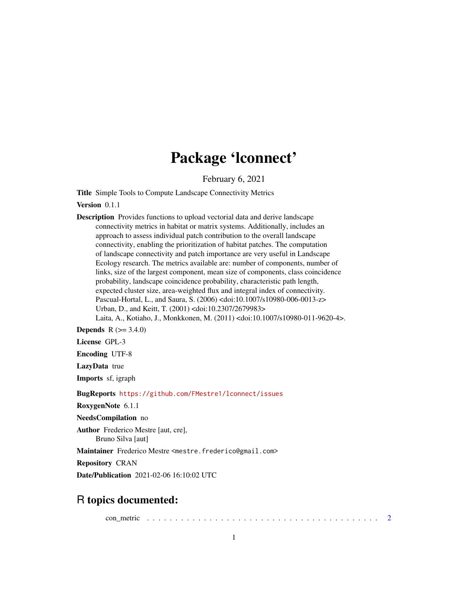## Package 'lconnect'

February 6, 2021

<span id="page-0-0"></span>Title Simple Tools to Compute Landscape Connectivity Metrics

Version 0.1.1

Description Provides functions to upload vectorial data and derive landscape connectivity metrics in habitat or matrix systems. Additionally, includes an approach to assess individual patch contribution to the overall landscape connectivity, enabling the prioritization of habitat patches. The computation of landscape connectivity and patch importance are very useful in Landscape Ecology research. The metrics available are: number of components, number of links, size of the largest component, mean size of components, class coincidence probability, landscape coincidence probability, characteristic path length, expected cluster size, area-weighted flux and integral index of connectivity. Pascual-Hortal, L., and Saura, S. (2006) <doi:10.1007/s10980-006-0013-z> Urban, D., and Keitt, T. (2001) <doi:10.2307/2679983> Laita, A., Kotiaho, J., Monkkonen, M. (2011) <doi:10.1007/s10980-011-9620-4>.

**Depends** R  $(>= 3.4.0)$ 

License GPL-3

Encoding UTF-8

LazyData true

Imports sf, igraph

BugReports <https://github.com/FMestre1/lconnect/issues>

RoxygenNote 6.1.1

NeedsCompilation no

Author Frederico Mestre [aut, cre], Bruno Silva [aut]

Maintainer Frederico Mestre <mestre.frederico@gmail.com>

Repository CRAN

Date/Publication 2021-02-06 16:10:02 UTC

### R topics documented:

con\_metric . . . . . . . . . . . . . . . . . . . . . . . . . . . . . . . . . . . . . . . . . [2](#page-1-0)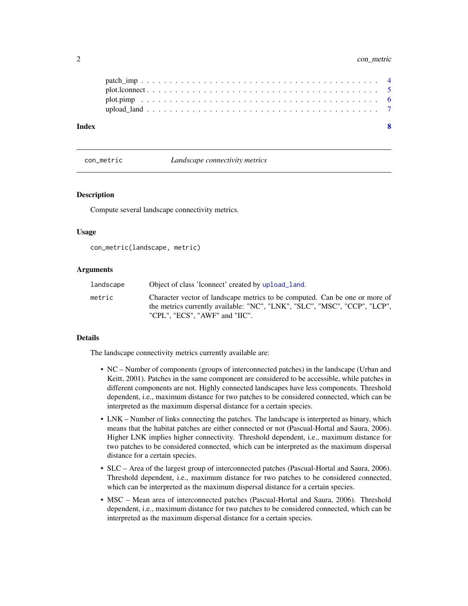#### <span id="page-1-0"></span>2 con\_metric

| Index |  |
|-------|--|
|       |  |
|       |  |
|       |  |
|       |  |

con\_metric *Landscape connectivity metrics*

#### Description

Compute several landscape connectivity metrics.

#### Usage

```
con_metric(landscape, metric)
```
#### Arguments

| landscape | Object of class 'leonnect' created by upload land.                                                                                                                                         |
|-----------|--------------------------------------------------------------------------------------------------------------------------------------------------------------------------------------------|
| metric    | Character vector of landscape metrics to be computed. Can be one or more of<br>the metrics currently available: "NC", "LNK", "SLC", "MSC", "CCP", "LCP",<br>"CPL". "ECS". "AWF" and "IIC". |
|           |                                                                                                                                                                                            |

#### Details

The landscape connectivity metrics currently available are:

- NC Number of components (groups of interconnected patches) in the landscape (Urban and Keitt, 2001). Patches in the same component are considered to be accessible, while patches in different components are not. Highly connected landscapes have less components. Threshold dependent, i.e., maximum distance for two patches to be considered connected, which can be interpreted as the maximum dispersal distance for a certain species.
- LNK Number of links connecting the patches. The landscape is interpreted as binary, which means that the habitat patches are either connected or not (Pascual-Hortal and Saura, 2006). Higher LNK implies higher connectivity. Threshold dependent, i.e., maximum distance for two patches to be considered connected, which can be interpreted as the maximum dispersal distance for a certain species.
- SLC Area of the largest group of interconnected patches (Pascual-Hortal and Saura, 2006). Threshold dependent, i.e., maximum distance for two patches to be considered connected, which can be interpreted as the maximum dispersal distance for a certain species.
- MSC Mean area of interconnected patches (Pascual-Hortal and Saura, 2006). Threshold dependent, i.e., maximum distance for two patches to be considered connected, which can be interpreted as the maximum dispersal distance for a certain species.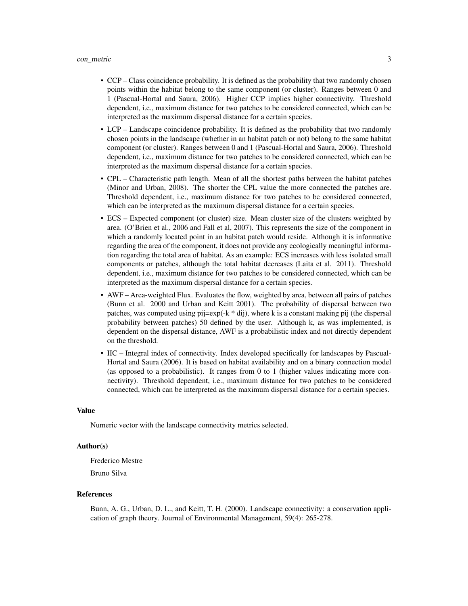#### con\_metric 3

- CCP Class coincidence probability. It is defined as the probability that two randomly chosen points within the habitat belong to the same component (or cluster). Ranges between 0 and 1 (Pascual-Hortal and Saura, 2006). Higher CCP implies higher connectivity. Threshold dependent, i.e., maximum distance for two patches to be considered connected, which can be interpreted as the maximum dispersal distance for a certain species.
- LCP Landscape coincidence probability. It is defined as the probability that two randomly chosen points in the landscape (whether in an habitat patch or not) belong to the same habitat component (or cluster). Ranges between 0 and 1 (Pascual-Hortal and Saura, 2006). Threshold dependent, i.e., maximum distance for two patches to be considered connected, which can be interpreted as the maximum dispersal distance for a certain species.
- CPL Characteristic path length. Mean of all the shortest paths between the habitat patches (Minor and Urban, 2008). The shorter the CPL value the more connected the patches are. Threshold dependent, i.e., maximum distance for two patches to be considered connected, which can be interpreted as the maximum dispersal distance for a certain species.
- ECS Expected component (or cluster) size. Mean cluster size of the clusters weighted by area. (O'Brien et al., 2006 and Fall et al, 2007). This represents the size of the component in which a randomly located point in an habitat patch would reside. Although it is informative regarding the area of the component, it does not provide any ecologically meaningful information regarding the total area of habitat. As an example: ECS increases with less isolated small components or patches, although the total habitat decreases (Laita et al. 2011). Threshold dependent, i.e., maximum distance for two patches to be considered connected, which can be interpreted as the maximum dispersal distance for a certain species.
- AWF Area-weighted Flux. Evaluates the flow, weighted by area, between all pairs of patches (Bunn et al. 2000 and Urban and Keitt 2001). The probability of dispersal between two patches, was computed using  $pi$  =  $exp(-k * dij)$ , where k is a constant making pij (the dispersal probability between patches) 50 defined by the user. Although k, as was implemented, is dependent on the dispersal distance, AWF is a probabilistic index and not directly dependent on the threshold.
- IIC Integral index of connectivity. Index developed specifically for landscapes by Pascual-Hortal and Saura (2006). It is based on habitat availability and on a binary connection model (as opposed to a probabilistic). It ranges from 0 to 1 (higher values indicating more connectivity). Threshold dependent, i.e., maximum distance for two patches to be considered connected, which can be interpreted as the maximum dispersal distance for a certain species.

#### Value

Numeric vector with the landscape connectivity metrics selected.

#### Author(s)

Frederico Mestre

Bruno Silva

#### References

Bunn, A. G., Urban, D. L., and Keitt, T. H. (2000). Landscape connectivity: a conservation application of graph theory. Journal of Environmental Management, 59(4): 265-278.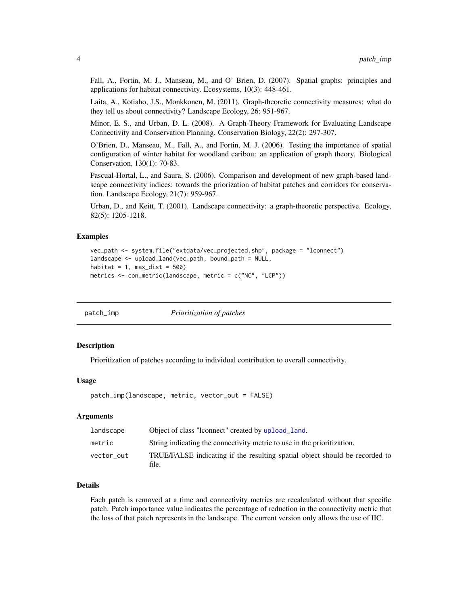<span id="page-3-0"></span>Fall, A., Fortin, M. J., Manseau, M., and O' Brien, D. (2007). Spatial graphs: principles and applications for habitat connectivity. Ecosystems, 10(3): 448-461.

Laita, A., Kotiaho, J.S., Monkkonen, M. (2011). Graph-theoretic connectivity measures: what do they tell us about connectivity? Landscape Ecology, 26: 951-967.

Minor, E. S., and Urban, D. L. (2008). A Graph-Theory Framework for Evaluating Landscape Connectivity and Conservation Planning. Conservation Biology, 22(2): 297-307.

O'Brien, D., Manseau, M., Fall, A., and Fortin, M. J. (2006). Testing the importance of spatial configuration of winter habitat for woodland caribou: an application of graph theory. Biological Conservation, 130(1): 70-83.

Pascual-Hortal, L., and Saura, S. (2006). Comparison and development of new graph-based landscape connectivity indices: towards the priorization of habitat patches and corridors for conservation. Landscape Ecology, 21(7): 959-967.

Urban, D., and Keitt, T. (2001). Landscape connectivity: a graph-theoretic perspective. Ecology, 82(5): 1205-1218.

#### Examples

```
vec_path <- system.file("extdata/vec_projected.shp", package = "lconnect")
landscape <- upload_land(vec_path, bound_path = NULL,
habitat = 1, max\_dist = 500)
metrics <- con_metric(landscape, metric = c("NC", "LCP"))
```
<span id="page-3-1"></span>patch\_imp *Prioritization of patches*

#### Description

Prioritization of patches according to individual contribution to overall connectivity.

#### Usage

```
patch_imp(landscape, metric, vector_out = FALSE)
```
#### Arguments

| landscape  | Object of class "leonnect" created by upload land.                                   |
|------------|--------------------------------------------------------------------------------------|
| metric     | String indicating the connectivity metric to use in the prioritization.              |
| vector_out | TRUE/FALSE indicating if the resulting spatial object should be recorded to<br>file. |

#### Details

Each patch is removed at a time and connectivity metrics are recalculated without that specific patch. Patch importance value indicates the percentage of reduction in the connectivity metric that the loss of that patch represents in the landscape. The current version only allows the use of IIC.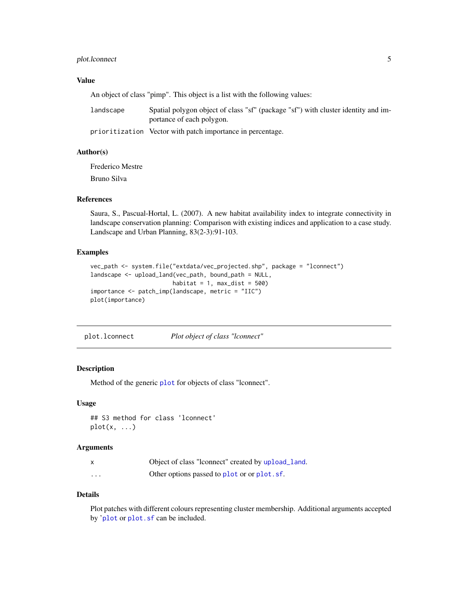#### <span id="page-4-0"></span>plot. l connect 5

#### Value

An object of class "pimp". This object is a list with the following values:

| landscape | Spatial polygon object of class "sf" (package "sf") with cluster identity and im- |
|-----------|-----------------------------------------------------------------------------------|
|           | portance of each polygon.                                                         |

prioritization Vector with patch importance in percentage.

#### Author(s)

Frederico Mestre

Bruno Silva

#### References

Saura, S., Pascual-Hortal, L. (2007). A new habitat availability index to integrate connectivity in landscape conservation planning: Comparison with existing indices and application to a case study. Landscape and Urban Planning, 83(2-3):91-103.

#### Examples

```
vec_path <- system.file("extdata/vec_projected.shp", package = "lconnect")
landscape <- upload_land(vec_path, bound_path = NULL,
                        habitat = 1, max\_dist = 500)
importance <- patch_imp(landscape, metric = "IIC")
plot(importance)
```
plot.lconnect *Plot object of class "lconnect"*

#### Description

Method of the generic [plot](#page-0-0) for objects of class "lconnect".

#### Usage

## S3 method for class 'lconnect'  $plot(x, \ldots)$ 

#### Arguments

|   | Object of class "lonnect" created by upload_land. |
|---|---------------------------------------------------|
| . | Other options passed to plot or or plot. sf.      |

#### Details

Plot patches with different colours representing cluster membership. Additional arguments accepted by '[plot](#page-0-0) or [plot.sf](#page-0-0) can be included.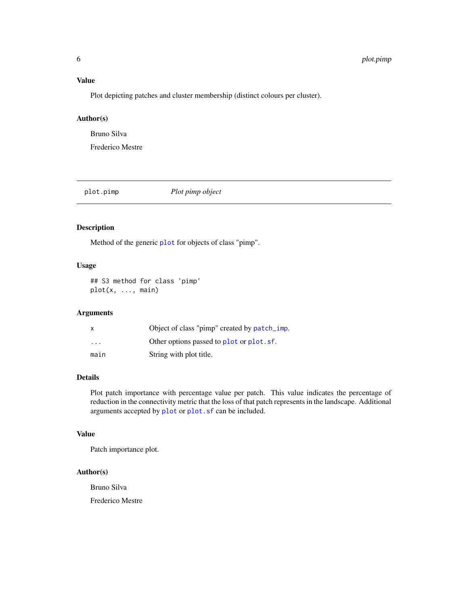#### <span id="page-5-0"></span>Value

Plot depicting patches and cluster membership (distinct colours per cluster).

#### Author(s)

Bruno Silva

Frederico Mestre

plot.pimp *Plot pimp object*

#### Description

Method of the generic [plot](#page-0-0) for objects of class "pimp".

#### Usage

## S3 method for class 'pimp' plot(x, ..., main)

#### Arguments

| $\boldsymbol{\mathsf{x}}$ | Object of class "pimp" created by patch_imp. |
|---------------------------|----------------------------------------------|
| .                         | Other options passed to plot or plot. sf.    |
| main                      | String with plot title.                      |

#### Details

Plot patch importance with percentage value per patch. This value indicates the percentage of reduction in the connectivity metric that the loss of that patch represents in the landscape. Additional arguments accepted by [plot](#page-0-0) or [plot.sf](#page-0-0) can be included.

#### Value

Patch importance plot.

#### Author(s)

Bruno Silva

Frederico Mestre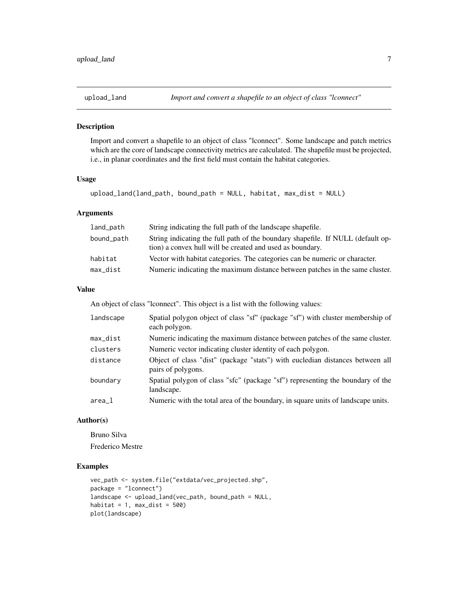<span id="page-6-1"></span><span id="page-6-0"></span>

#### Description

Import and convert a shapefile to an object of class "lconnect". Some landscape and patch metrics which are the core of landscape connectivity metrics are calculated. The shapefile must be projected, i.e., in planar coordinates and the first field must contain the habitat categories.

#### Usage

```
upload_land(land_path, bound_path = NULL, habitat, max_dist = NULL)
```
#### Arguments

| land_path  | String indicating the full path of the landscape shapefile.                                                                                  |
|------------|----------------------------------------------------------------------------------------------------------------------------------------------|
| bound_path | String indicating the full path of the boundary shapefile. If NULL (default op-<br>tion) a convex hull will be created and used as boundary. |
| habitat    | Vector with habitat categories. The categories can be numeric or character.                                                                  |
| max_dist   | Numeric indicating the maximum distance between patches in the same cluster.                                                                 |

#### Value

An object of class "lconnect". This object is a list with the following values:

| landscape | Spatial polygon object of class "sf" (package "sf") with cluster membership of<br>each polygon.     |
|-----------|-----------------------------------------------------------------------------------------------------|
| max_dist  | Numeric indicating the maximum distance between patches of the same cluster.                        |
| clusters  | Numeric vector indicating cluster identity of each polygon.                                         |
| distance  | Object of class "dist" (package "stats") with eucledian distances between all<br>pairs of polygons. |
| boundary  | Spatial polygon of class "sfc" (package "sf") representing the boundary of the<br>landscape.        |
| $area_1$  | Numeric with the total area of the boundary, in square units of landscape units.                    |

#### Author(s)

Bruno Silva Frederico Mestre

#### Examples

```
vec_path <- system.file("extdata/vec_projected.shp",
package = "lconnect")
landscape <- upload_land(vec_path, bound_path = NULL,
habitat = 1, max\_dist = 500)
plot(landscape)
```